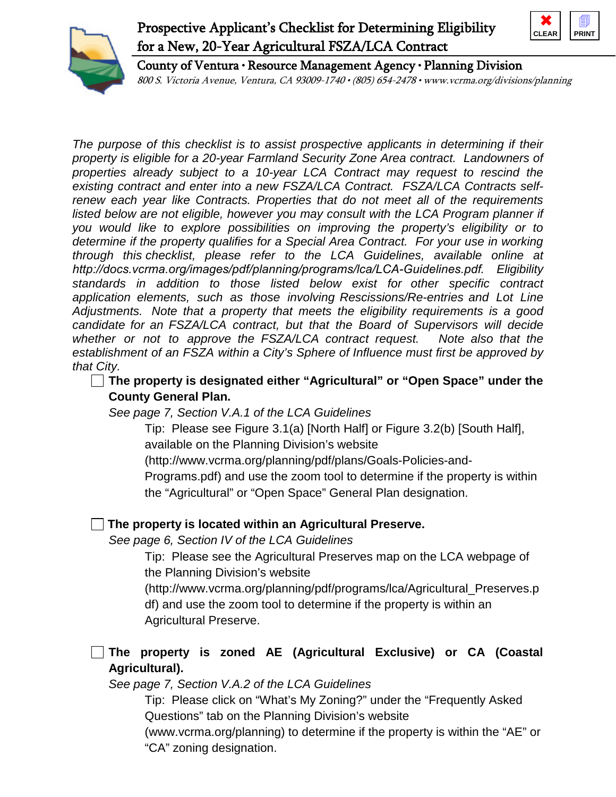# Prospective Applicant's Checklist for Determining Eligibility for a New, 20-Year Agricultural FSZA/LCA Contract





County of Ventura • Resource Management Agency • Planning Division

800 S. Victoria Avenue, Ventura, CA 93009-1740 • (805) 654-2478 • www.vcrma.org/divisions/planning

*The purpose of this checklist is to assist prospective applicants in determining if their property is eligible for a 20-year Farmland Security Zone Area contract. Landowners of properties already subject to a 10-year LCA Contract may request to rescind the existing contract and enter into a new FSZA/LCA Contract. FSZA/LCA Contracts selfrenew each year like Contracts. Properties that do not meet all of the requirements*  listed below are not eligible, however you may consult with the LCA Program planner if *you would like to explore possibilities on improving the property's eligibility or to determine if the property qualifies for a Special Area Contract. For your use in working through this checklist, please refer to the LCA Guidelines, available online at http://docs.vcrma.org/images/pdf/planning/programs/lca/LCA-Guidelines.pdf. Eligibility standards in addition to those listed below exist for other specific contract application elements, such as those involving Rescissions/Re-entries and Lot Line Adjustments. Note that a property that meets the eligibility requirements is a good candidate for an FSZA/LCA contract, but that the Board of Supervisors will decide whether or not to approve the FSZA/LCA contract request. Note also that the establishment of an FSZA within a City's Sphere of Influence must first be approved by that City.* 

**The property is designated either "Agricultural" or "Open Space" under the County General Plan.**

*See page 7, Section V.A.1 of the LCA Guidelines*

Tip: Please see Figure 3.1(a) [North Half] or Figure 3.2(b) [South Half], available on the Planning Division's website

(http://www.vcrma.org/planning/pdf/plans/Goals-Policies-and-

Programs.pdf) and use the zoom tool to determine if the property is within the "Agricultural" or "Open Space" General Plan designation.

### **The property is located within an Agricultural Preserve.**

*See page 6, Section IV of the LCA Guidelines*

Tip: Please see the Agricultural Preserves map on the LCA webpage of the Planning Division's website

(http://www.vcrma.org/planning/pdf/programs/lca/Agricultural\_Preserves.p df) and use the zoom tool to determine if the property is within an Agricultural Preserve.

## **The property is zoned AE (Agricultural Exclusive) or CA (Coastal Agricultural).**

*See page 7, Section V.A.2 of the LCA Guidelines*

Tip: Please click on "What's My Zoning?" under the "Frequently Asked Questions" tab on the Planning Division's website

(www.vcrma.org/planning) to determine if the property is within the "AE" or "CA" zoning designation.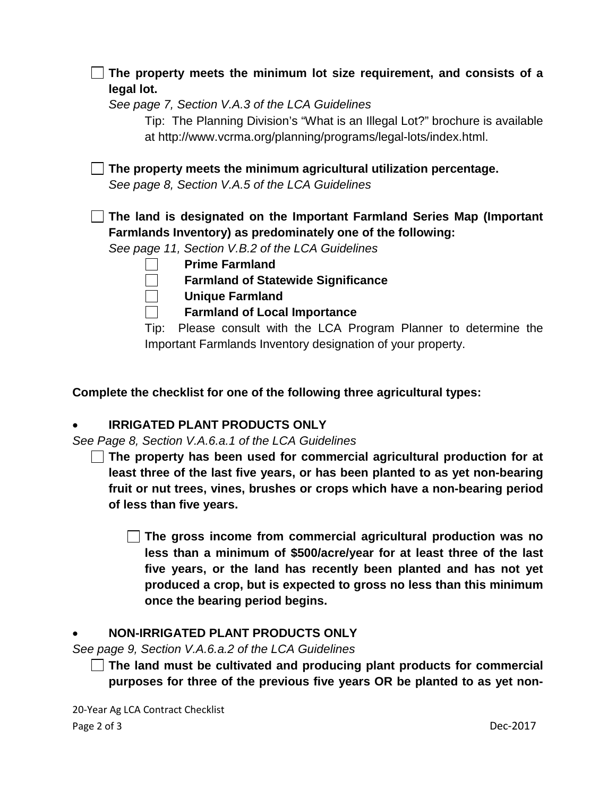| The property meets the minimum lot size requirement, and consists of a                                                                           |
|--------------------------------------------------------------------------------------------------------------------------------------------------|
| legal lot.                                                                                                                                       |
| See page 7, Section V.A.3 of the LCA Guidelines                                                                                                  |
| Tip: The Planning Division's "What is an Illegal Lot?" brochure is available<br>at http://www.vcrma.org/planning/programs/legal-lots/index.html. |
| The property meets the minimum agricultural utilization percentage.                                                                              |
| See page 8, Section V.A.5 of the LCA Guidelines                                                                                                  |
|                                                                                                                                                  |
| The land is designated on the Important Farmland Series Map (Important<br>Farmlands Inventory) as predominately one of the following:            |
| See page 11, Section V.B.2 of the LCA Guidelines                                                                                                 |
| <b>Prime Farmland</b>                                                                                                                            |
| <b>Farmland of Statewide Significance</b>                                                                                                        |
| <b>Unique Farmland</b>                                                                                                                           |
| <b>Farmland of Local Importance</b>                                                                                                              |
| Please consult with the LCA Program Planner to determine the<br>Tip:                                                                             |

**Complete the checklist for one of the following three agricultural types:**

### • **IRRIGATED PLANT PRODUCTS ONLY**

*See Page 8, Section V.A.6.a.1 of the LCA Guidelines*

**The property has been used for commercial agricultural production for at least three of the last five years, or has been planted to as yet non-bearing fruit or nut trees, vines, brushes or crops which have a non-bearing period of less than five years.** 

**The gross income from commercial agricultural production was no less than a minimum of \$500/acre/year for at least three of the last five years, or the land has recently been planted and has not yet produced a crop, but is expected to gross no less than this minimum once the bearing period begins.**

### • **NON-IRRIGATED PLANT PRODUCTS ONLY**

*See page 9, Section V.A.6.a.2 of the LCA Guidelines*

**The land must be cultivated and producing plant products for commercial purposes for three of the previous five years OR be planted to as yet non-**

20-Year Ag LCA Contract Checklist Page 2 of 3 Dec-2017